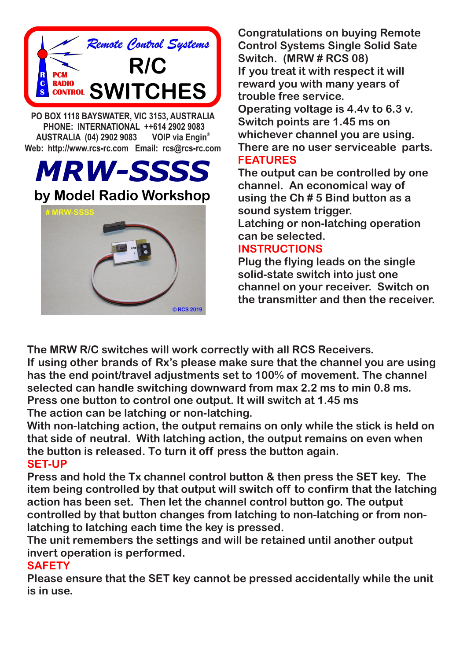

**Web: http://www.rcs-rc.com Email: rcs@rcs-rc.com**

*MRW-SSS* 



**Congratulations on buying Remote Control Systems Single Solid Sate Switch. (MRW # RCS 08) If you treat it with respect it will reward you with many years of trouble free service. Operating voltage is 4.4v to 6.3 v. Switch points are 1.45 ms on whichever channel you are using. There are no user serviceable parts. FEATURES**

**The output can be controlled by one channel. An economical way of using the Ch # 5 Bind button as a sound system trigger.** 

**Latching or non-latching operation can be selected.**

## **INSTRUCTIONS**

**Plug the flying leads on the single solid-state switch into just one channel on your receiver. Switch on the transmitter and then the receiver.**

**The MRW R/C switches will work correctly with all RCS Receivers. If using other brands of Rx's please make sure that the channel you are using has the end point/travel adjustments set to 100% of movement. The channel selected can handle switching downward from max 2.2 ms to min 0.8 ms. Press one button to control one output. It will switch at 1.45 ms The action can be latching or non-latching.**

**With non-latching action, the output remains on only while the stick is held on that side of neutral. With latching action, the output remains on even when the button is released. To turn it off press the button again. SET-UP**

**Press and hold the Tx channel control button & then press the SET key. The item being controlled by that output will switch off to confirm that the latching action has been set. Then let the channel control button go. The output controlled by that button changes from latching to non-latching or from nonlatching to latching each time the key is pressed.**

**The unit remembers the settings and will be retained until another output invert operation is performed.**

## **SAFETY**

**Please ensure that the SET key cannot be pressed accidentally while the unit is in use.**